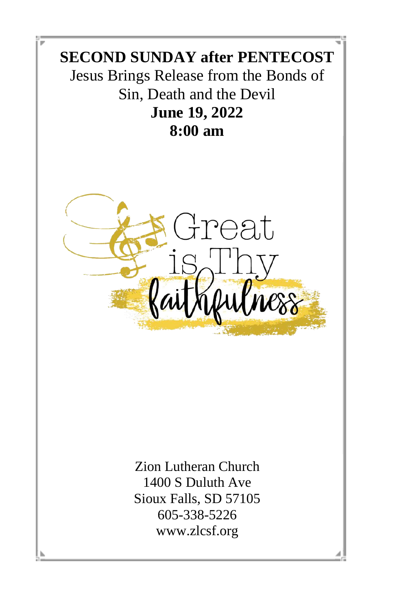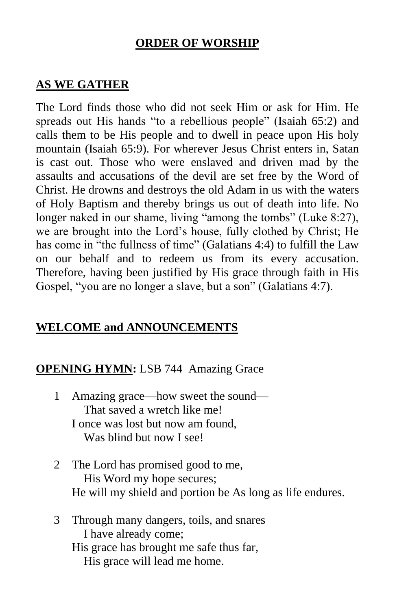### **ORDER OF WORSHIP**

## **AS WE GATHER**

The Lord finds those who did not seek Him or ask for Him. He spreads out His hands "to a rebellious people" (Isaiah 65:2) and calls them to be His people and to dwell in peace upon His holy mountain (Isaiah 65:9). For wherever Jesus Christ enters in, Satan is cast out. Those who were enslaved and driven mad by the assaults and accusations of the devil are set free by the Word of Christ. He drowns and destroys the old Adam in us with the waters of Holy Baptism and thereby brings us out of death into life. No longer naked in our shame, living "among the tombs" (Luke 8:27), we are brought into the Lord's house, fully clothed by Christ; He has come in "the fullness of time" (Galatians 4:4) to fulfill the Law on our behalf and to redeem us from its every accusation. Therefore, having been justified by His grace through faith in His Gospel, "you are no longer a slave, but a son" (Galatians 4:7).

# **WELCOME and ANNOUNCEMENTS**

# **OPENING HYMN:** LSB 744 Amazing Grace

- 1 Amazing grace—how sweet the sound— That saved a wretch like me! I once was lost but now am found, Was blind but now I see!
- 2 The Lord has promised good to me, His Word my hope secures; He will my shield and portion be As long as life endures.
- 3 Through many dangers, toils, and snares I have already come; His grace has brought me safe thus far, His grace will lead me home.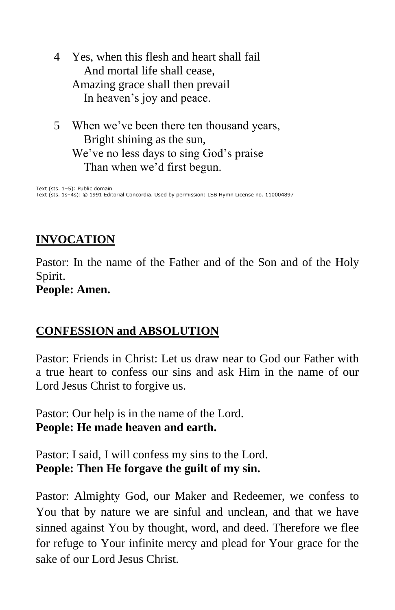4 Yes, when this flesh and heart shall fail And mortal life shall cease, Amazing grace shall then prevail In heaven's joy and peace.

5 When we've been there ten thousand years, Bright shining as the sun, We've no less days to sing God's praise Than when we'd first begun.

Text (sts. 1–5): Public domain Text (sts. 1s–4s): © 1991 Editorial Concordia. Used by permission: LSB Hymn License no. 110004897

# **INVOCATION**

Pastor: In the name of the Father and of the Son and of the Holy Spirit.

**People: Amen.**

# **CONFESSION and ABSOLUTION**

Pastor: Friends in Christ: Let us draw near to God our Father with a true heart to confess our sins and ask Him in the name of our Lord Jesus Christ to forgive us.

Pastor: Our help is in the name of the Lord. **People: He made heaven and earth.** 

Pastor: I said, I will confess my sins to the Lord. **People: Then He forgave the guilt of my sin.**

Pastor: Almighty God, our Maker and Redeemer, we confess to You that by nature we are sinful and unclean, and that we have sinned against You by thought, word, and deed. Therefore we flee for refuge to Your infinite mercy and plead for Your grace for the sake of our Lord Jesus Christ.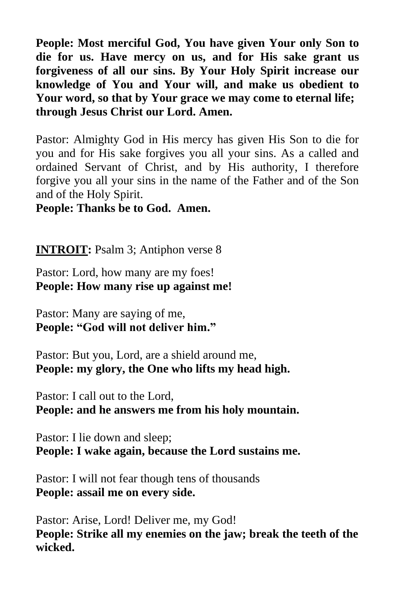**People: Most merciful God, You have given Your only Son to die for us. Have mercy on us, and for His sake grant us forgiveness of all our sins. By Your Holy Spirit increase our knowledge of You and Your will, and make us obedient to Your word, so that by Your grace we may come to eternal life; through Jesus Christ our Lord. Amen.**

Pastor: Almighty God in His mercy has given His Son to die for you and for His sake forgives you all your sins. As a called and ordained Servant of Christ, and by His authority, I therefore forgive you all your sins in the name of the Father and of the Son and of the Holy Spirit.

**People: Thanks be to God. Amen.**

**INTROIT:** Psalm 3; Antiphon verse 8

Pastor: Lord, how many are my foes! **People: How many rise up against me!**

Pastor: Many are saying of me, **People: "God will not deliver him."**

Pastor: But you, Lord, are a shield around me, **People: my glory, the One who lifts my head high.**

Pastor: I call out to the Lord, **People: and he answers me from his holy mountain.**

Pastor: I lie down and sleep; **People: I wake again, because the Lord sustains me.**

Pastor: I will not fear though tens of thousands **People: assail me on every side.**

Pastor: Arise, Lord! Deliver me, my God! **People: Strike all my enemies on the jaw; break the teeth of the wicked.**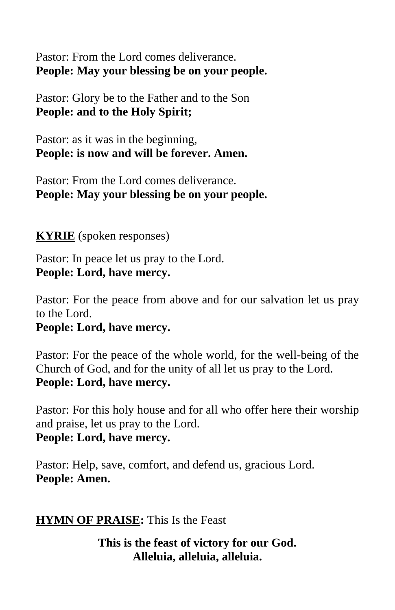Pastor: From the Lord comes deliverance. **People: May your blessing be on your people.**

Pastor: Glory be to the Father and to the Son **People: and to the Holy Spirit;**

Pastor: as it was in the beginning, **People: is now and will be forever. Amen.**

Pastor: From the Lord comes deliverance. **People: May your blessing be on your people.**

**KYRIE** (spoken responses)

Pastor: In peace let us pray to the Lord. **People: Lord, have mercy.**

Pastor: For the peace from above and for our salvation let us pray to the Lord.

**People: Lord, have mercy.**

Pastor: For the peace of the whole world, for the well-being of the Church of God, and for the unity of all let us pray to the Lord. **People: Lord, have mercy.**

Pastor: For this holy house and for all who offer here their worship and praise, let us pray to the Lord. **People: Lord, have mercy.**

Pastor: Help, save, comfort, and defend us, gracious Lord. **People: Amen.**

# **HYMN OF PRAISE:** This Is the Feast

**This is the feast of victory for our God. Alleluia, alleluia, alleluia.**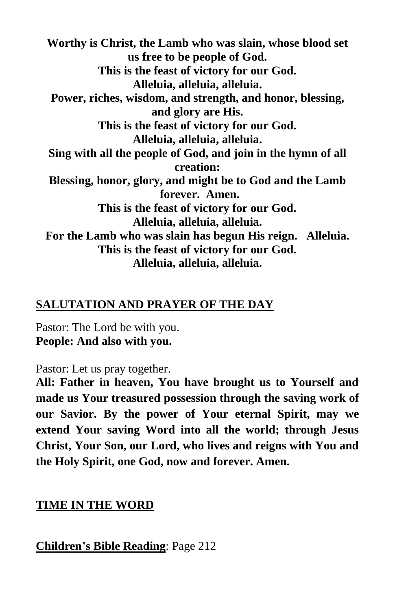**Worthy is Christ, the Lamb who was slain, whose blood set us free to be people of God. This is the feast of victory for our God. Alleluia, alleluia, alleluia. Power, riches, wisdom, and strength, and honor, blessing, and glory are His. This is the feast of victory for our God. Alleluia, alleluia, alleluia. Sing with all the people of God, and join in the hymn of all creation: Blessing, honor, glory, and might be to God and the Lamb forever. Amen. This is the feast of victory for our God. Alleluia, alleluia, alleluia. For the Lamb who was slain has begun His reign. Alleluia. This is the feast of victory for our God. Alleluia, alleluia, alleluia.**

## **SALUTATION AND PRAYER OF THE DAY**

Pastor: The Lord be with you. **People: And also with you.**

Pastor: Let us pray together.

**All: Father in heaven, You have brought us to Yourself and made us Your treasured possession through the saving work of our Savior. By the power of Your eternal Spirit, may we extend Your saving Word into all the world; through Jesus Christ, Your Son, our Lord, who lives and reigns with You and the Holy Spirit, one God, now and forever. Amen.**

### **TIME IN THE WORD**

**Children's Bible Reading**: Page 212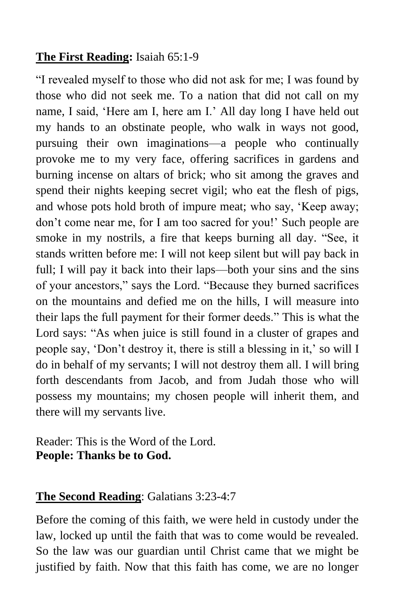# **The First Reading:** Isaiah 65:1-9

"I revealed myself to those who did not ask for me; I was found by those who did not seek me. To a nation that did not call on my name, I said, 'Here am I, here am I.' All day long I have held out my hands to an obstinate people, who walk in ways not good, pursuing their own imaginations—a people who continually provoke me to my very face, offering sacrifices in gardens and burning incense on altars of brick; who sit among the graves and spend their nights keeping secret vigil; who eat the flesh of pigs, and whose pots hold broth of impure meat; who say, 'Keep away; don't come near me, for I am too sacred for you!' Such people are smoke in my nostrils, a fire that keeps burning all day. "See, it stands written before me: I will not keep silent but will pay back in full; I will pay it back into their laps—both your sins and the sins of your ancestors," says the Lord. "Because they burned sacrifices on the mountains and defied me on the hills, I will measure into their laps the full payment for their former deeds." This is what the Lord says: "As when juice is still found in a cluster of grapes and people say, 'Don't destroy it, there is still a blessing in it,' so will I do in behalf of my servants; I will not destroy them all. I will bring forth descendants from Jacob, and from Judah those who will possess my mountains; my chosen people will inherit them, and there will my servants live.

Reader: This is the Word of the Lord. **People: Thanks be to God.**

### **The Second Reading**: Galatians 3:23-4:7

Before the coming of this faith, we were held in custody under the law, locked up until the faith that was to come would be revealed. So the law was our guardian until Christ came that we might be justified by faith. Now that this faith has come, we are no longer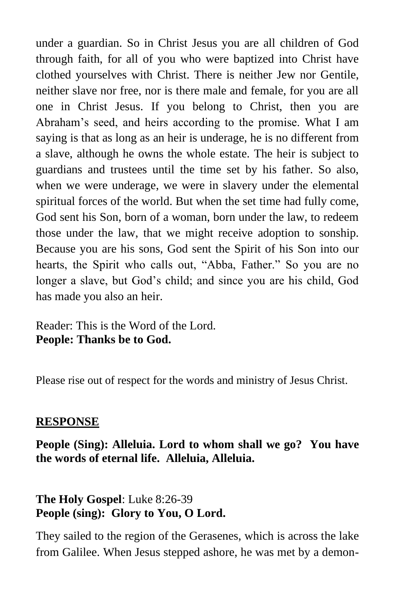under a guardian. So in Christ Jesus you are all children of God through faith, for all of you who were baptized into Christ have clothed yourselves with Christ. There is neither Jew nor Gentile, neither slave nor free, nor is there male and female, for you are all one in Christ Jesus. If you belong to Christ, then you are Abraham's seed, and heirs according to the promise. What I am saying is that as long as an heir is underage, he is no different from a slave, although he owns the whole estate. The heir is subject to guardians and trustees until the time set by his father. So also, when we were underage, we were in slavery under the elemental spiritual forces of the world. But when the set time had fully come, God sent his Son, born of a woman, born under the law, to redeem those under the law, that we might receive adoption to sonship. Because you are his sons, God sent the Spirit of his Son into our hearts, the Spirit who calls out, "Abba, Father." So you are no longer a slave, but God's child; and since you are his child, God has made you also an heir.

Reader: This is the Word of the Lord. **People: Thanks be to God.**

Please rise out of respect for the words and ministry of Jesus Christ.

### **RESPONSE**

**People (Sing): Alleluia. Lord to whom shall we go? You have the words of eternal life. Alleluia, Alleluia.** 

**The Holy Gospel**: Luke 8:26-39 **People (sing): Glory to You, O Lord.**

They sailed to the region of the Gerasenes, which is across the lake from Galilee. When Jesus stepped ashore, he was met by a demon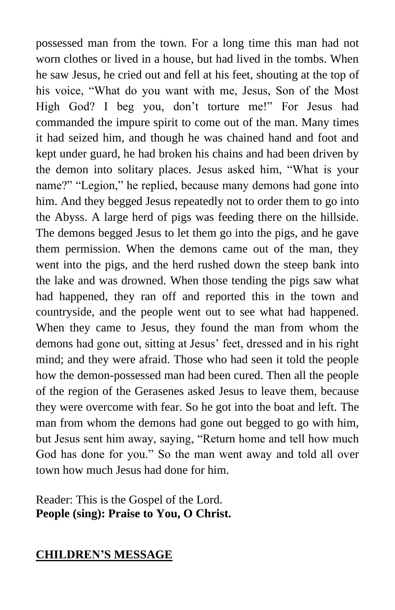possessed man from the town. For a long time this man had not worn clothes or lived in a house, but had lived in the tombs. When he saw Jesus, he cried out and fell at his feet, shouting at the top of his voice, "What do you want with me, Jesus, Son of the Most High God? I beg you, don't torture me!" For Jesus had commanded the impure spirit to come out of the man. Many times it had seized him, and though he was chained hand and foot and kept under guard, he had broken his chains and had been driven by the demon into solitary places. Jesus asked him, "What is your name?" "Legion," he replied, because many demons had gone into him. And they begged Jesus repeatedly not to order them to go into the Abyss. A large herd of pigs was feeding there on the hillside. The demons begged Jesus to let them go into the pigs, and he gave them permission. When the demons came out of the man, they went into the pigs, and the herd rushed down the steep bank into the lake and was drowned. When those tending the pigs saw what had happened, they ran off and reported this in the town and countryside, and the people went out to see what had happened. When they came to Jesus, they found the man from whom the demons had gone out, sitting at Jesus' feet, dressed and in his right mind; and they were afraid. Those who had seen it told the people how the demon-possessed man had been cured. Then all the people of the region of the Gerasenes asked Jesus to leave them, because they were overcome with fear. So he got into the boat and left. The man from whom the demons had gone out begged to go with him, but Jesus sent him away, saying, "Return home and tell how much God has done for you." So the man went away and told all over town how much Jesus had done for him.

Reader: This is the Gospel of the Lord. **People (sing): Praise to You, O Christ.**

### **CHILDREN'S MESSAGE**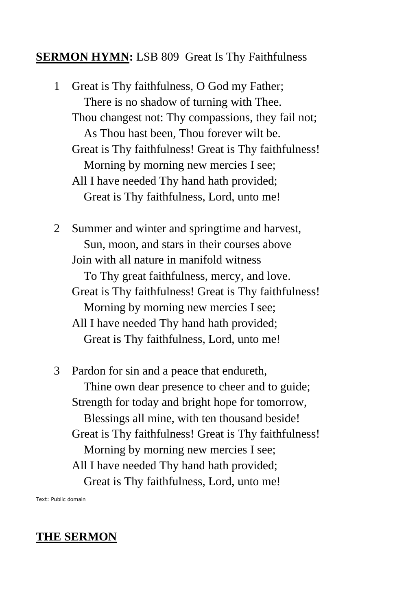#### **SERMON HYMN: LSB 809 Great Is Thy Faithfulness**

1 Great is Thy faithfulness, O God my Father; There is no shadow of turning with Thee. Thou changest not: Thy compassions, they fail not; As Thou hast been, Thou forever wilt be. Great is Thy faithfulness! Great is Thy faithfulness! Morning by morning new mercies I see; All I have needed Thy hand hath provided; Great is Thy faithfulness, Lord, unto me!

2 Summer and winter and springtime and harvest, Sun, moon, and stars in their courses above Join with all nature in manifold witness To Thy great faithfulness, mercy, and love. Great is Thy faithfulness! Great is Thy faithfulness! Morning by morning new mercies I see; All I have needed Thy hand hath provided; Great is Thy faithfulness, Lord, unto me!

3 Pardon for sin and a peace that endureth, Thine own dear presence to cheer and to guide; Strength for today and bright hope for tomorrow, Blessings all mine, with ten thousand beside! Great is Thy faithfulness! Great is Thy faithfulness! Morning by morning new mercies I see; All I have needed Thy hand hath provided; Great is Thy faithfulness, Lord, unto me!

Text: Public domain

### **THE SERMON**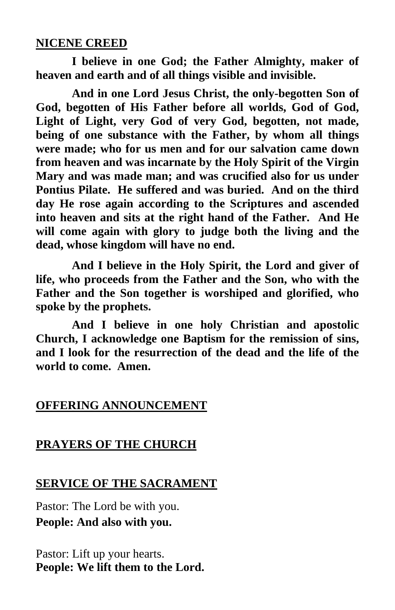### **NICENE CREED**

**I believe in one God; the Father Almighty, maker of heaven and earth and of all things visible and invisible.**

**And in one Lord Jesus Christ, the only-begotten Son of God, begotten of His Father before all worlds, God of God, Light of Light, very God of very God, begotten, not made, being of one substance with the Father, by whom all things were made; who for us men and for our salvation came down from heaven and was incarnate by the Holy Spirit of the Virgin Mary and was made man; and was crucified also for us under Pontius Pilate. He suffered and was buried. And on the third day He rose again according to the Scriptures and ascended into heaven and sits at the right hand of the Father. And He will come again with glory to judge both the living and the dead, whose kingdom will have no end.**

**And I believe in the Holy Spirit, the Lord and giver of life, who proceeds from the Father and the Son, who with the Father and the Son together is worshiped and glorified, who spoke by the prophets.** 

**And I believe in one holy Christian and apostolic Church, I acknowledge one Baptism for the remission of sins, and I look for the resurrection of the dead and the life of the world to come. Amen.**

### **OFFERING ANNOUNCEMENT**

# **PRAYERS OF THE CHURCH**

### **SERVICE OF THE SACRAMENT**

Pastor: The Lord be with you. **People: And also with you.**

Pastor: Lift up your hearts. **People: We lift them to the Lord.**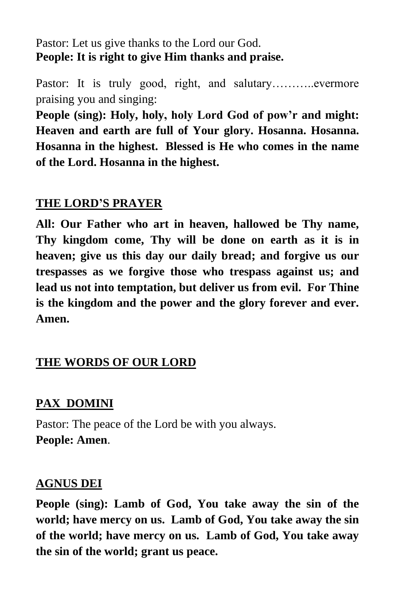Pastor: Let us give thanks to the Lord our God. **People: It is right to give Him thanks and praise.**

Pastor: It is truly good, right, and salutary………..evermore praising you and singing:

**People (sing): Holy, holy, holy Lord God of pow'r and might: Heaven and earth are full of Your glory. Hosanna. Hosanna. Hosanna in the highest. Blessed is He who comes in the name of the Lord. Hosanna in the highest.**

### **THE LORD'S PRAYER**

**All: Our Father who art in heaven, hallowed be Thy name, Thy kingdom come, Thy will be done on earth as it is in heaven; give us this day our daily bread; and forgive us our trespasses as we forgive those who trespass against us; and lead us not into temptation, but deliver us from evil. For Thine is the kingdom and the power and the glory forever and ever. Amen.**

### **THE WORDS OF OUR LORD**

### **PAX DOMINI**

Pastor: The peace of the Lord be with you always. **People: Amen**.

#### **AGNUS DEI**

**People (sing): Lamb of God, You take away the sin of the world; have mercy on us. Lamb of God, You take away the sin of the world; have mercy on us. Lamb of God, You take away the sin of the world; grant us peace.**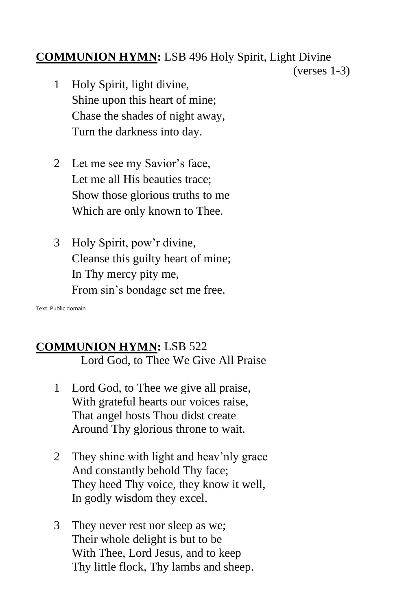## **COMMUNION HYMN:** LSB 496 Holy Spirit, Light Divine

(verses 1-3)

- 1 Holy Spirit, light divine, Shine upon this heart of mine; Chase the shades of night away, Turn the darkness into day.
- 2 Let me see my Savior's face, Let me all His beauties trace; Show those glorious truths to me Which are only known to Thee.
- 3 Holy Spirit, pow'r divine, Cleanse this guilty heart of mine; In Thy mercy pity me, From sin's bondage set me free.

Text: Public domain

## **COMMUNION HYMN:** LSB 522

Lord God, to Thee We Give All Praise

- 1 Lord God, to Thee we give all praise, With grateful hearts our voices raise, That angel hosts Thou didst create Around Thy glorious throne to wait.
- 2 They shine with light and heav'nly grace And constantly behold Thy face; They heed Thy voice, they know it well, In godly wisdom they excel.
- 3 They never rest nor sleep as we; Their whole delight is but to be With Thee, Lord Jesus, and to keep Thy little flock, Thy lambs and sheep.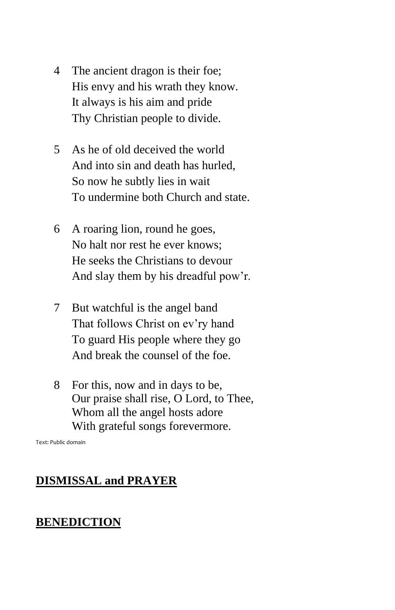- 4 The ancient dragon is their foe; His envy and his wrath they know. It always is his aim and pride Thy Christian people to divide.
- 5 As he of old deceived the world And into sin and death has hurled, So now he subtly lies in wait To undermine both Church and state.
- 6 A roaring lion, round he goes, No halt nor rest he ever knows; He seeks the Christians to devour And slay them by his dreadful pow'r.
- 7 But watchful is the angel band That follows Christ on ev'ry hand To guard His people where they go And break the counsel of the foe.
- 8 For this, now and in days to be, Our praise shall rise, O Lord, to Thee, Whom all the angel hosts adore With grateful songs forevermore.

Text: Public domain

# **DISMISSAL and PRAYER**

### **BENEDICTION**